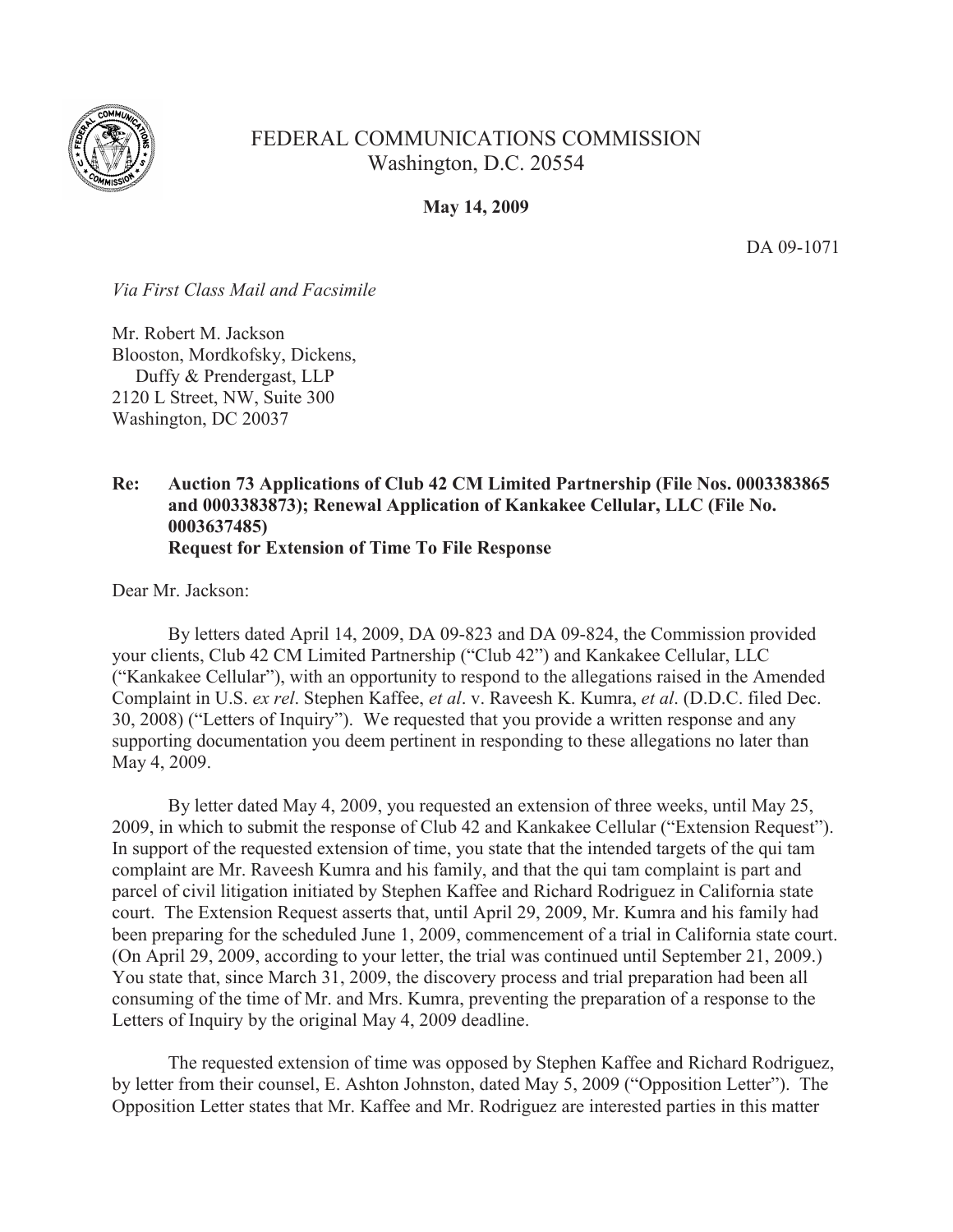

## FEDERAL COMMUNICATIONS COMMISSION Washington, D.C. 20554

**May 14, 2009**

DA 09-1071

*Via First Class Mail and Facsimile*

Mr. Robert M. Jackson Blooston, Mordkofsky, Dickens, Duffy & Prendergast, LLP 2120 L Street, NW, Suite 300 Washington, DC 20037

## **Re: Auction 73 Applications of Club 42 CM Limited Partnership (File Nos. 0003383865 and 0003383873); Renewal Application of Kankakee Cellular, LLC (File No. 0003637485) Request for Extension of Time To File Response**

Dear Mr. Jackson:

By letters dated April 14, 2009, DA 09-823 and DA 09-824, the Commission provided your clients, Club 42 CM Limited Partnership ("Club 42") and Kankakee Cellular, LLC ("Kankakee Cellular"), with an opportunity to respond to the allegations raised in the Amended Complaint in U.S. *ex rel*. Stephen Kaffee, *et al*. v. Raveesh K. Kumra, *et al*. (D.D.C. filed Dec. 30, 2008) ("Letters of Inquiry"). We requested that you provide a written response and any supporting documentation you deem pertinent in responding to these allegations no later than May 4, 2009.

By letter dated May 4, 2009, you requested an extension of three weeks, until May 25, 2009, in which to submit the response of Club 42 and Kankakee Cellular ("Extension Request"). In support of the requested extension of time, you state that the intended targets of the qui tam complaint are Mr. Raveesh Kumra and his family, and that the qui tam complaint is part and parcel of civil litigation initiated by Stephen Kaffee and Richard Rodriguez in California state court. The Extension Request asserts that, until April 29, 2009, Mr. Kumra and his family had been preparing for the scheduled June 1, 2009, commencement of a trial in California state court. (On April 29, 2009, according to your letter, the trial was continued until September 21, 2009.) You state that, since March 31, 2009, the discovery process and trial preparation had been all consuming of the time of Mr. and Mrs. Kumra, preventing the preparation of a response to the Letters of Inquiry by the original May 4, 2009 deadline.

The requested extension of time was opposed by Stephen Kaffee and Richard Rodriguez, by letter from their counsel, E. Ashton Johnston, dated May 5, 2009 ("Opposition Letter"). The Opposition Letter states that Mr. Kaffee and Mr. Rodriguez are interested parties in this matter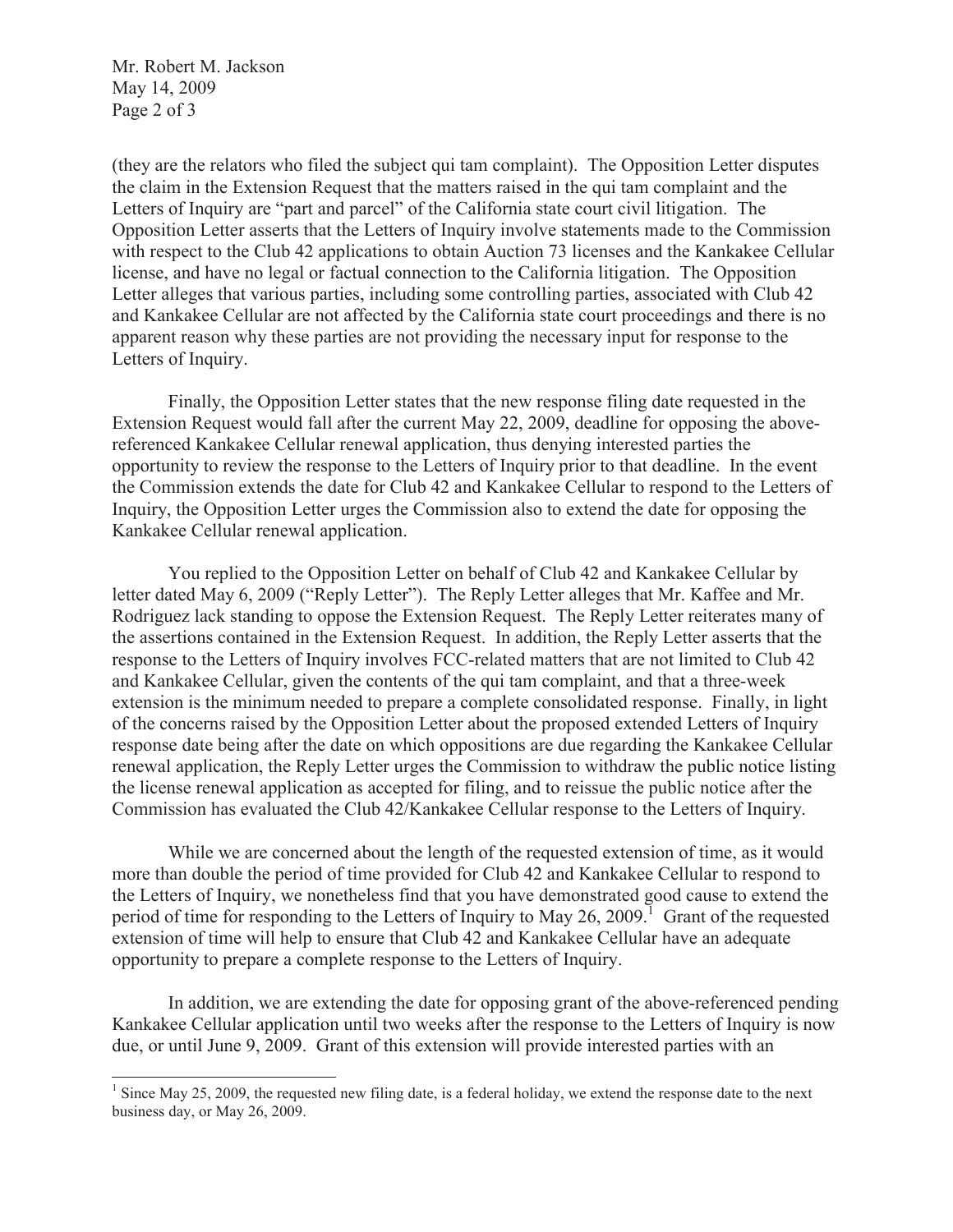Mr. Robert M. Jackson May 14, 2009 Page 2 of 3

(they are the relators who filed the subject qui tam complaint). The Opposition Letter disputes the claim in the Extension Request that the matters raised in the qui tam complaint and the Letters of Inquiry are "part and parcel" of the California state court civil litigation. The Opposition Letter asserts that the Letters of Inquiry involve statements made to the Commission with respect to the Club 42 applications to obtain Auction 73 licenses and the Kankakee Cellular license, and have no legal or factual connection to the California litigation. The Opposition Letter alleges that various parties, including some controlling parties, associated with Club 42 and Kankakee Cellular are not affected by the California state court proceedings and there is no apparent reason why these parties are not providing the necessary input for response to the Letters of Inquiry.

Finally, the Opposition Letter states that the new response filing date requested in the Extension Request would fall after the current May 22, 2009, deadline for opposing the abovereferenced Kankakee Cellular renewal application, thus denying interested parties the opportunity to review the response to the Letters of Inquiry prior to that deadline. In the event the Commission extends the date for Club 42 and Kankakee Cellular to respond to the Letters of Inquiry, the Opposition Letter urges the Commission also to extend the date for opposing the Kankakee Cellular renewal application.

You replied to the Opposition Letter on behalf of Club 42 and Kankakee Cellular by letter dated May 6, 2009 ("Reply Letter"). The Reply Letter alleges that Mr. Kaffee and Mr. Rodriguez lack standing to oppose the Extension Request. The Reply Letter reiterates many of the assertions contained in the Extension Request. In addition, the Reply Letter asserts that the response to the Letters of Inquiry involves FCC-related matters that are not limited to Club 42 and Kankakee Cellular, given the contents of the qui tam complaint, and that a three-week extension is the minimum needed to prepare a complete consolidated response. Finally, in light of the concerns raised by the Opposition Letter about the proposed extended Letters of Inquiry response date being after the date on which oppositions are due regarding the Kankakee Cellular renewal application, the Reply Letter urges the Commission to withdraw the public notice listing the license renewal application as accepted for filing, and to reissue the public notice after the Commission has evaluated the Club 42/Kankakee Cellular response to the Letters of Inquiry.

While we are concerned about the length of the requested extension of time, as it would more than double the period of time provided for Club 42 and Kankakee Cellular to respond to the Letters of Inquiry, we nonetheless find that you have demonstrated good cause to extend the period of time for responding to the Letters of Inquiry to May 26, 2009.<sup>1</sup> Grant of the requested extension of time will help to ensure that Club 42 and Kankakee Cellular have an adequate opportunity to prepare a complete response to the Letters of Inquiry.

In addition, we are extending the date for opposing grant of the above-referenced pending Kankakee Cellular application until two weeks after the response to the Letters of Inquiry is now due, or until June 9, 2009. Grant of this extension will provide interested parties with an

 $<sup>1</sup>$  Since May 25, 2009, the requested new filing date, is a federal holiday, we extend the response date to the next</sup> business day, or May 26, 2009.